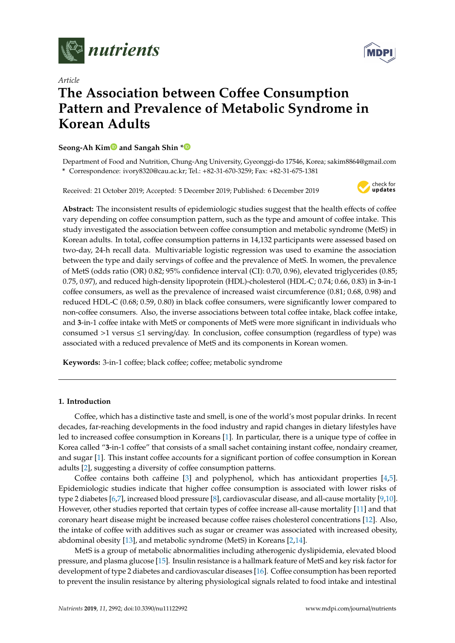

*Article*



# **The Association between Co**ff**ee Consumption Pattern and Prevalence of Metabolic Syndrome in Korean Adults**

# **Seong-Ah Ki[m](https://orcid.org/0000-0003-4220-8072) and Sangah Shin [\\*](https://orcid.org/0000-0003-0094-1014)**

Department of Food and Nutrition, Chung-Ang University, Gyeonggi-do 17546, Korea; sakim8864@gmail.com **\*** Correspondence: ivory8320@cau.ac.kr; Tel.: +82-31-670-3259; Fax: +82-31-675-1381

Received: 21 October 2019; Accepted: 5 December 2019; Published: 6 December 2019



**Abstract:** The inconsistent results of epidemiologic studies suggest that the health effects of coffee vary depending on coffee consumption pattern, such as the type and amount of coffee intake. This study investigated the association between coffee consumption and metabolic syndrome (MetS) in Korean adults. In total, coffee consumption patterns in 14,132 participants were assessed based on two-day, 24-h recall data. Multivariable logistic regression was used to examine the association between the type and daily servings of coffee and the prevalence of MetS. In women, the prevalence of MetS (odds ratio (OR) 0.82; 95% confidence interval (CI): 0.70, 0.96), elevated triglycerides (0.85; 0.75, 0.97), and reduced high-density lipoprotein (HDL)-cholesterol (HDL-C; 0.74; 0.66, 0.83) in **3**-in-1 coffee consumers, as well as the prevalence of increased waist circumference (0.81; 0.68, 0.98) and reduced HDL-C (0.68; 0.59, 0.80) in black coffee consumers, were significantly lower compared to non-coffee consumers. Also, the inverse associations between total coffee intake, black coffee intake, and **3**-in-1 coffee intake with MetS or components of MetS were more significant in individuals who consumed  $>1$  versus  $\leq 1$  serving/day. In conclusion, coffee consumption (regardless of type) was associated with a reduced prevalence of MetS and its components in Korean women.

**Keywords:** 3-in-1 coffee; black coffee; coffee; metabolic syndrome

# **1. Introduction**

Coffee, which has a distinctive taste and smell, is one of the world's most popular drinks. In recent decades, far-reaching developments in the food industry and rapid changes in dietary lifestyles have led to increased coffee consumption in Koreans [\[1\]](#page-10-0). In particular, there is a unique type of coffee in Korea called "**3**-in-1 coffee" that consists of a small sachet containing instant coffee, nondairy creamer, and sugar [\[1\]](#page-10-0). This instant coffee accounts for a significant portion of coffee consumption in Korean adults [\[2\]](#page-10-1), suggesting a diversity of coffee consumption patterns.

Coffee contains both caffeine [\[3\]](#page-10-2) and polyphenol, which has antioxidant properties [\[4,](#page-10-3)[5\]](#page-10-4). Epidemiologic studies indicate that higher coffee consumption is associated with lower risks of type 2 diabetes [\[6,](#page-10-5)[7\]](#page-10-6), increased blood pressure [\[8\]](#page-10-7), cardiovascular disease, and all-cause mortality [\[9](#page-10-8)[,10\]](#page-10-9). However, other studies reported that certain types of coffee increase all-cause mortality [\[11\]](#page-10-10) and that coronary heart disease might be increased because coffee raises cholesterol concentrations [\[12\]](#page-10-11). Also, the intake of coffee with additives such as sugar or creamer was associated with increased obesity, abdominal obesity [\[13\]](#page-10-12), and metabolic syndrome (MetS) in Koreans [\[2](#page-10-1)[,14\]](#page-10-13).

MetS is a group of metabolic abnormalities including atherogenic dyslipidemia, elevated blood pressure, and plasma glucose [\[15\]](#page-10-14). Insulin resistance is a hallmark feature of MetS and key risk factor for development of type 2 diabetes and cardiovascular diseases [\[16\]](#page-10-15). Coffee consumption has been reported to prevent the insulin resistance by altering physiological signals related to food intake and intestinal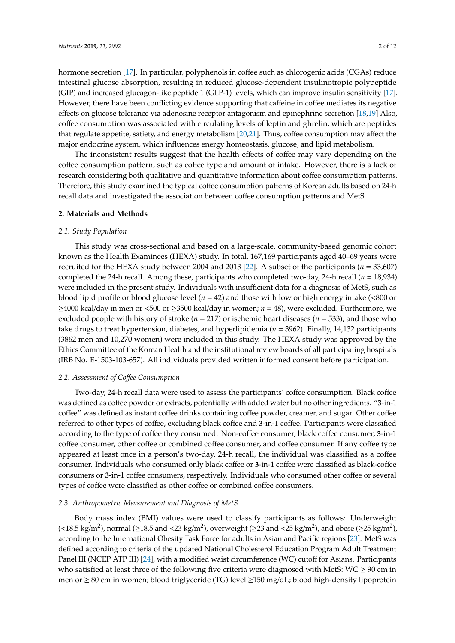hormone secretion [\[17\]](#page-10-16). In particular, polyphenols in coffee such as chlorogenic acids (CGAs) reduce intestinal glucose absorption, resulting in reduced glucose-dependent insulinotropic polypeptide (GIP) and increased glucagon-like peptide 1 (GLP-1) levels, which can improve insulin sensitivity [\[17\]](#page-10-16). However, there have been conflicting evidence supporting that caffeine in coffee mediates its negative effects on glucose tolerance via adenosine receptor antagonism and epinephrine secretion [\[18](#page-10-17)[,19\]](#page-11-0) Also, coffee consumption was associated with circulating levels of leptin and ghrelin, which are peptides that regulate appetite, satiety, and energy metabolism [\[20,](#page-11-1)[21\]](#page-11-2). Thus, coffee consumption may affect the major endocrine system, which influences energy homeostasis, glucose, and lipid metabolism.

The inconsistent results suggest that the health effects of coffee may vary depending on the coffee consumption pattern, such as coffee type and amount of intake. However, there is a lack of research considering both qualitative and quantitative information about coffee consumption patterns. Therefore, this study examined the typical coffee consumption patterns of Korean adults based on 24-h recall data and investigated the association between coffee consumption patterns and MetS.

## **2. Materials and Methods**

## *2.1. Study Population*

This study was cross-sectional and based on a large-scale, community-based genomic cohort known as the Health Examinees (HEXA) study. In total, 167,169 participants aged 40–69 years were recruited for the HEXA study between 2004 and 2013 [\[22\]](#page-11-3). A subset of the participants (*n* = 33,607) completed the 24-h recall. Among these, participants who completed two-day, 24-h recall (*n* = 18,934) were included in the present study. Individuals with insufficient data for a diagnosis of MetS, such as blood lipid profile or blood glucose level (*n* = 42) and those with low or high energy intake (<800 or ≥4000 kcal/day in men or <500 or ≥3500 kcal/day in women; *n* = 48), were excluded. Furthermore, we excluded people with history of stroke (*n* = 217) or ischemic heart diseases (*n* = 533), and those who take drugs to treat hypertension, diabetes, and hyperlipidemia (*n* = 3962). Finally, 14,132 participants (3862 men and 10,270 women) were included in this study. The HEXA study was approved by the Ethics Committee of the Korean Health and the institutional review boards of all participating hospitals (IRB No. E-1503-103-657). All individuals provided written informed consent before participation.

#### *2.2. Assessment of Co*ff*ee Consumption*

Two-day, 24-h recall data were used to assess the participants' coffee consumption. Black coffee was defined as coffee powder or extracts, potentially with added water but no other ingredients. "**3**-in-1 coffee" was defined as instant coffee drinks containing coffee powder, creamer, and sugar. Other coffee referred to other types of coffee, excluding black coffee and **3**-in-1 coffee. Participants were classified according to the type of coffee they consumed: Non-coffee consumer, black coffee consumer, **3**-in-1 coffee consumer, other coffee or combined coffee consumer, and coffee consumer. If any coffee type appeared at least once in a person's two-day, 24-h recall, the individual was classified as a coffee consumer. Individuals who consumed only black coffee or **3**-in-1 coffee were classified as black-coffee consumers or **3**-in-1 coffee consumers, respectively. Individuals who consumed other coffee or several types of coffee were classified as other coffee or combined coffee consumers.

## *2.3. Anthropometric Measurement and Diagnosis of MetS*

Body mass index (BMI) values were used to classify participants as follows: Underweight (<18.5 kg/m<sup>2</sup>), normal (≥18.5 and <23 kg/m<sup>2</sup>), overweight (≥23 and <25 kg/m<sup>2</sup>), and obese (≥25 kg/m<sup>2</sup>), according to the International Obesity Task Force for adults in Asian and Pacific regions [\[23\]](#page-11-4). MetS was defined according to criteria of the updated National Cholesterol Education Program Adult Treatment Panel III (NCEP ATP III) [\[24\]](#page-11-5), with a modified waist circumference (WC) cutoff for Asians. Participants who satisfied at least three of the following five criteria were diagnosed with MetS:  $WC \ge 90$  cm in men or ≥ 80 cm in women; blood triglyceride (TG) level ≥150 mg/dL; blood high-density lipoprotein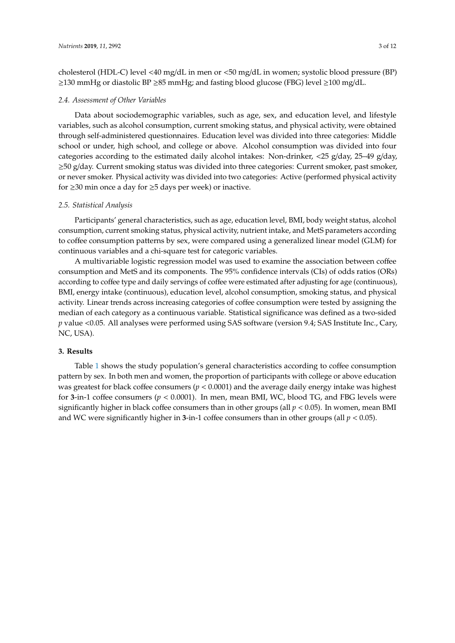cholesterol (HDL-C) level <40 mg/dL in men or <50 mg/dL in women; systolic blood pressure (BP) ≥130 mmHg or diastolic BP ≥85 mmHg; and fasting blood glucose (FBG) level ≥100 mg/dL.

## *2.4. Assessment of Other Variables*

Data about sociodemographic variables, such as age, sex, and education level, and lifestyle variables, such as alcohol consumption, current smoking status, and physical activity, were obtained through self-administered questionnaires. Education level was divided into three categories: Middle school or under, high school, and college or above. Alcohol consumption was divided into four categories according to the estimated daily alcohol intakes: Non-drinker,  $\langle 25 \text{ g/day}, 25-49 \text{ g/day},$ ≥50 g/day. Current smoking status was divided into three categories: Current smoker, past smoker, or never smoker. Physical activity was divided into two categories: Active (performed physical activity for ≥30 min once a day for ≥5 days per week) or inactive.

## *2.5. Statistical Analysis*

Participants' general characteristics, such as age, education level, BMI, body weight status, alcohol consumption, current smoking status, physical activity, nutrient intake, and MetS parameters according to coffee consumption patterns by sex, were compared using a generalized linear model (GLM) for continuous variables and a chi-square test for categoric variables.

A multivariable logistic regression model was used to examine the association between coffee consumption and MetS and its components. The 95% confidence intervals (CIs) of odds ratios (ORs) according to coffee type and daily servings of coffee were estimated after adjusting for age (continuous), BMI, energy intake (continuous), education level, alcohol consumption, smoking status, and physical activity. Linear trends across increasing categories of coffee consumption were tested by assigning the median of each category as a continuous variable. Statistical significance was defined as a two-sided *p* value <0.05. All analyses were performed using SAS software (version 9.4; SAS Institute Inc., Cary, NC, USA).

# **3. Results**

Table [1](#page-4-0) shows the study population's general characteristics according to coffee consumption pattern by sex. In both men and women, the proportion of participants with college or above education was greatest for black coffee consumers (*p* < 0.0001) and the average daily energy intake was highest for **3**-in-1 coffee consumers (*p* < 0.0001). In men, mean BMI, WC, blood TG, and FBG levels were significantly higher in black coffee consumers than in other groups (all *p* < 0.05). In women, mean BMI and WC were significantly higher in **3**-in-1 coffee consumers than in other groups (all  $p < 0.05$ ).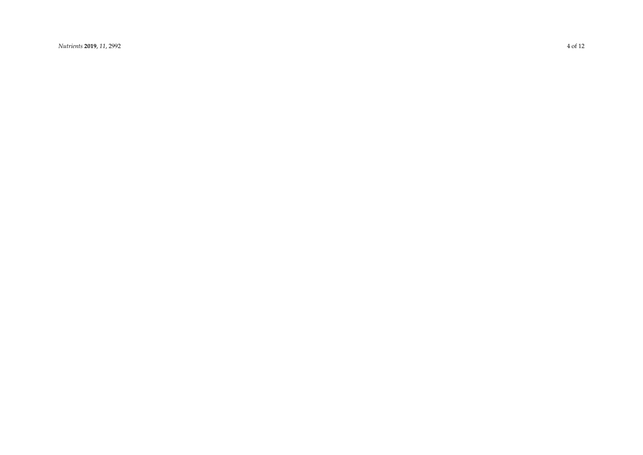*Nutrients* **2019**, *11*, 2992 4 of 12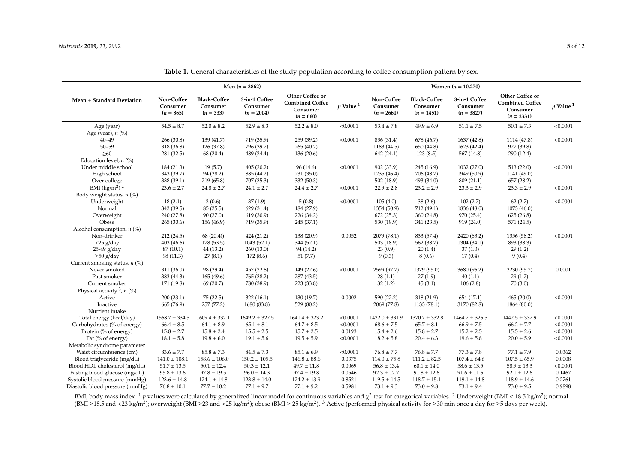|                                   | Men $(n = 3862)$                      |                                                |                                           |                                                                      | Women $(n = 10,270)$ |                                        |                                                 |                                           |                                                                       |                        |
|-----------------------------------|---------------------------------------|------------------------------------------------|-------------------------------------------|----------------------------------------------------------------------|----------------------|----------------------------------------|-------------------------------------------------|-------------------------------------------|-----------------------------------------------------------------------|------------------------|
| Mean $\pm$ Standard Deviation     | Non-Coffee<br>Consumer<br>$(n = 865)$ | <b>Black-Coffee</b><br>Consumer<br>$(n = 333)$ | 3-in-1 Coffee<br>Consumer<br>$(n = 2004)$ | Other Coffee or<br><b>Combined Coffee</b><br>Consumer<br>$(n = 660)$ | $p$ Value $1$        | Non-Coffee<br>Consumer<br>$(n = 2661)$ | <b>Black-Coffee</b><br>Consumer<br>$(n = 1451)$ | 3-in-1 Coffee<br>Consumer<br>$(n = 3827)$ | Other Coffee or<br><b>Combined Coffee</b><br>Consumer<br>$(n = 2331)$ | $p$ Value <sup>1</sup> |
| Age (year)<br>Age (year), $n$ (%) | $54.5 \pm 8.7$                        | $52.0 \pm 8.2$                                 | $52.9 \pm 8.3$                            | $52.2 \pm 8.0$                                                       | < 0.0001             | $53.4 \pm 7.8$                         | $49.9 \pm 6.9$                                  | $51.1 \pm 7.5$                            | $50.1 \pm 7.3$                                                        | < 0.0001               |
| $40 - 49$                         | 266(30.8)                             | 139 (41.7)                                     | 719 (35.9)                                | 259(39.2)                                                            | < 0.0001             | 836 (31.4)                             | 678 (46.7)                                      | 1637 (42.8)                               | 1114 (47.8)                                                           | < 0.0001               |
| $50 - 59$                         | 318 (36.8)                            | 126 (37.8)                                     | 796 (39.7)                                | 265(40.2)                                                            |                      | 1183 (44.5)                            | 650 (44.8)                                      | 1623 (42.4)                               | 927 (39.8)                                                            |                        |
| $\geq 60$                         | 281(32.5)                             | 68 (20.4)                                      | 489 (24.4)                                | 136(20.6)                                                            |                      | 642(24.1)                              | 123(8.5)                                        | 567 (14.8)                                | 290 (12.4)                                                            |                        |
| Education level, $n$ (%)          |                                       |                                                |                                           |                                                                      |                      |                                        |                                                 |                                           |                                                                       |                        |
| Under middle school               | 184 (21.3)                            | 19(5.7)                                        | 405(20.2)                                 | 96 (14.6)                                                            | < 0.0001             | 902 (33.9)                             | 245(16.9)                                       | 1032(27.0)                                | 513(22.0)                                                             | < 0.0001               |
| High school                       | 343 (39.7)                            | 94 (28.2)                                      | 885 (44.2)                                | 231(35.0)                                                            |                      | 1235(46.4)                             | 706 (48.7)                                      | 1949 (50.9)                               | 1141 (49.0)                                                           |                        |
| Over college                      | 338 (39.1)                            | 219(65.8)                                      | 707 (35.3)                                | 332(50.3)                                                            |                      | 502(18.9)                              | 493 (34.0)                                      | 809(21.1)                                 | 657(28.2)                                                             |                        |
| BMI $(kg/m^2)$ <sup>2</sup>       | $23.6 \pm 2.7$                        | $24.8 \pm 2.7$                                 | $24.1 \pm 2.7$                            | $24.4 \pm 2.7$                                                       | < 0.0001             | $22.9 \pm 2.8$                         | $23.2 \pm 2.9$                                  | $23.3 \pm 2.9$                            | $23.3 \pm 2.9$                                                        | < 0.0001               |
| Body weight status, $n$ (%)       |                                       |                                                |                                           |                                                                      |                      |                                        |                                                 |                                           |                                                                       |                        |
| Underweight                       | 18(2.1)                               | 2(0.6)                                         | 37(1.9)                                   | 5(0.8)                                                               | < 0.0001             | 105(4.0)                               | 38(2.6)                                         | 102(2.7)                                  | 62(2.7)                                                               | < 0.0001               |
| Normal                            | 342 (39.5)                            | 85(25.5)                                       | 629 (31.4)                                | 184 (27.9)                                                           |                      | 1354 (50.9)                            | 712 (49.1)                                      | 1836 (48.0)                               | 1073(46.0)                                                            |                        |
| Overweight                        | 240 (27.8)                            | 90(27.0)                                       | 619 (30.9)                                | 226(34.2)                                                            |                      | 672(25.3)                              | 360(24.8)                                       | 970 (25.4)                                | 625(26.8)                                                             |                        |
| Obese                             | 265(30.6)                             | 156 (46.9)                                     | 719 (35.9)                                | 245(37.1)                                                            |                      | 530 (19.9)                             | 341 (23.5)                                      | 919(24.0)                                 | 571 (24.5)                                                            |                        |
| Alcohol consumption, $n$ (%)      |                                       |                                                |                                           |                                                                      |                      |                                        |                                                 |                                           |                                                                       |                        |
| Non-drinker                       | 212(24.5)                             | 68(20.4)                                       | 424 (21.2)                                | 138 (20.9)                                                           | 0.0052               | 2079 (78.1)                            | 833 (57.4)                                      | 2420 (63.2)                               | 1356 (58.2)                                                           | < 0.0001               |
| $<$ 25 g/day                      | 403 (46.6)                            | 178 (53.5)                                     | 1043(52.1)                                | 344 (52.1)                                                           |                      | 503 (18.9)                             | 562 (38.7)                                      | 1304 (34.1)                               | 893 (38.3)                                                            |                        |
| $25-49$ g/day                     | 87(10.1)                              | 44 (13.2)                                      | 260(13.0)                                 | 94 (14.2)                                                            |                      | 23(0.9)                                | 20(1.4)                                         | 37(1.0)                                   | 29(1.2)                                                               |                        |
| $\geq 50$ g/day                   | 98 (11.3)                             | 27(8.1)                                        | 172(8.6)                                  | 51(7.7)                                                              |                      | 9(0.3)                                 | 8(0.6)                                          | 17(0.4)                                   | 9(0.4)                                                                |                        |
| Current smoking status, n (%)     |                                       |                                                |                                           |                                                                      |                      |                                        |                                                 |                                           |                                                                       |                        |
| Never smoked                      | 311(36.0)                             | 98 (29.4)                                      | 457(22.8)                                 | 149 (22.6)                                                           | < 0.0001             | 2599 (97.7)                            | 1379 (95.0)                                     | 3680 (96.2)                               | 2230 (95.7)                                                           | 0.0001                 |
| Past smoker                       | 383 (44.3)                            | 165(49.6)                                      | 765 (38.2)                                | 287 (43.5)                                                           |                      | 28(1.1)                                | 27(1.9)                                         | 40(1.1)                                   | 29(1.2)                                                               |                        |
| Current smoker                    | 171 (19.8)                            | 69(20.7)                                       | 780 (38.9)                                | 223 (33.8)                                                           |                      | 32(1.2)                                | 45(3.1)                                         | 106(2.8)                                  | 70(3.0)                                                               |                        |
| Physical activity $3, n$ (%)      |                                       |                                                |                                           |                                                                      |                      |                                        |                                                 |                                           |                                                                       |                        |
| Active                            | 200(23.1)                             | 75(22.5)                                       | 322(16.1)                                 | 130(19.7)                                                            | 0.0002               | 590 (22.2)                             | 318(21.9)                                       | 654 (17.1)                                | 465(20.0)                                                             | < 0.0001               |
| Inactive                          | 665 (76.9)                            | 257 (77.2)                                     | 1680 (83.8)                               | 529 (80.2)                                                           |                      | 2069 (77.8)                            | 1133 (78.1)                                     | 3170 (82.8)                               | 1864 (80.0)                                                           |                        |
| Nutrient intake                   |                                       |                                                |                                           |                                                                      |                      |                                        |                                                 |                                           |                                                                       |                        |
| Total energy (kcal/day)           | $1568.7 \pm 334.5$                    | $1609.4 \pm 332.1$                             | $1649.2 \pm 327.5$                        | $1641.4 \pm 323.2$                                                   | < 0.0001             | $1422.0 \pm 331.9$                     | $1370.7 \pm 332.8$                              | $1464.7 \pm 326.5$                        | $1442.5 \pm 337.9$                                                    | < 0.0001               |
| Carbohydrates (% of energy)       | $66.4 \pm 8.5$                        | $64.1 \pm 8.9$                                 | $65.1 \pm 8.1$                            | $64.7 \pm 8.5$                                                       | < 0.0001             | $68.6 \pm 7.5$                         | $65.7 \pm 8.1$                                  | $66.9 \pm 7.5$                            | $66.2 \pm 7.7$                                                        | < 0.0001               |
| Protein (% of energy)             | $15.8 \pm 2.7$                        | $15.8 \pm 2.4$                                 | $15.5 \pm 2.5$                            | $15.7 \pm 2.5$                                                       | 0.0193               | $15.4 \pm 2.6$                         | $15.8 \pm 2.7$                                  | $15.2 \pm 2.5$                            | $15.5 \pm 2.6$                                                        | < 0.0001               |
| Fat (% of energy)                 | $18.1 \pm 5.8$                        | $19.8 \pm 6.0$                                 | $19.1 \pm 5.6$                            | $19.5 \pm 5.9$                                                       | < 0.0001             | $18.2 \pm 5.8$                         | $20.4 \pm 6.3$                                  | $19.6 \pm 5.8$                            | $20.0 \pm 5.9$                                                        | < 0.0001               |
| Metabolic syndrome parameter      |                                       |                                                |                                           |                                                                      |                      |                                        |                                                 |                                           |                                                                       |                        |
| Waist circumference (cm)          | $83.6 \pm 7.7$                        | $85.8 \pm 7.3$                                 | $84.5 \pm 7.3$                            | $85.1 \pm 6.9$                                                       | < 0.0001             | $76.8 \pm 7.7$                         | $76.8 \pm 7.7$                                  | $77.3 \pm 7.8$                            | $77.1 \pm 7.9$                                                        | 0.0362                 |
| Blood triglyceride (mg/dL)        | $141.0 \pm 108.1$                     | $158.6\pm106.0$                                | $150.2 \pm 105.5$                         | $146.8 \pm 88.6$                                                     | 0.0375               | $114.0\pm75.8$                         | $111.2 \pm 82.5$                                | $107.4 \pm 64.6$                          | $107.5\pm65.9$                                                        | 0.0008                 |
| Blood HDL cholesterol (mg/dL)     | $51.7 \pm 13.5$                       | $50.1 \pm 12.4$                                | $50.3 \pm 12.1$                           | $49.7 \pm 11.8$                                                      | 0.0069               | $56.8 \pm 13.4$                        | $60.1 \pm 14.0$                                 | $58.6 \pm 13.5$                           | $58.9 \pm 13.3$                                                       | < 0.0001               |
| Fasting blood glucose (mg/dL)     | $95.8 \pm 13.6$                       | $97.8 \pm 19.5$                                | $96.0 \pm 14.3$                           | $97.4 \pm 19.8$                                                      | 0.0546               | $92.3 \pm 12.7$                        | $91.8 \pm 12.6$                                 | $91.6 \pm 11.6$                           | $92.1 \pm 12.6$                                                       | 0.1467                 |
| Systolic blood pressure (mmHg)    | $123.6 \pm 14.8$                      | $124.1 \pm 14.8$                               | $123.8 \pm 14.0$                          | $124.2 \pm 13.9$                                                     | 0.8521               | $119.5 \pm 14.5$                       | $118.7 \pm 15.1$                                | $119.1 \pm 14.8$                          | $118.9 \pm 14.6$                                                      | 0.2761                 |
| Diastolic blood pressure (mmHg)   | $76.8 \pm 10.1$                       | $77.7 \pm 10.2$                                | $77.1 \pm 9.7$                            | $77.1 \pm 9.2$                                                       | 0.5981               | $73.1 \pm 9.3$                         | $73.0 \pm 9.8$                                  | $73.1 \pm 9.4$                            | $73.0 \pm 9.5$                                                        | 0.9898                 |

**Table 1.** General characteristics of the study population according to coffee consumption pattern by sex.

<span id="page-4-0"></span>BMI, body mass index. <sup>1</sup> p values were calculated by generalized linear model for continuous variables and x<sup>2</sup> test for categorical variables. <sup>2</sup> Underweight (BMI < 18.5 kg/m<sup>2</sup>); normal<br>(BMI ≥18.5 and <23 kg/m<sup>2</sup>); ov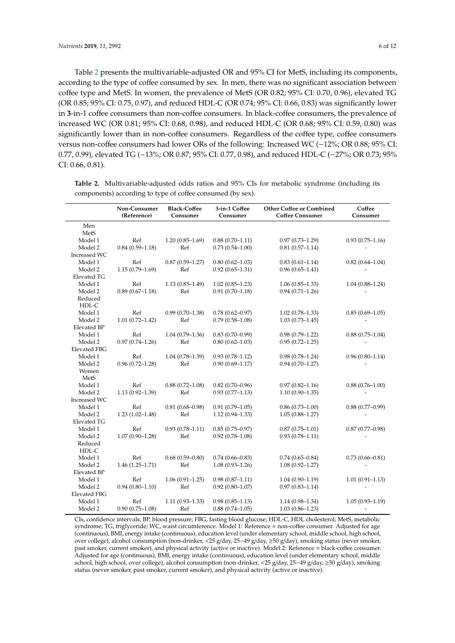Table [2](#page-5-0) presents the multivariable-adjusted OR and 95% CI for MetS, including its components, according to the type of coffee consumed by sex. In men, there was no significant association between coffee type and MetS. In women, the prevalence of MetS (OR 0.82; 95% CI: 0.70, 0.96), elevated TG (OR 0.85; 95% CI: 0.75, 0.97), and reduced HDL-C (OR 0.74; 95% CI: 0.66, 0.83) was significantly lower in **3**-in-1 coffee consumers than non-coffee consumers. In black-coffee consumers, the prevalence of increased WC (OR 0.81; 95% CI: 0.68, 0.98), and reduced HDL-C (OR 0.68; 95% CI: 0.59, 0.80) was significantly lower than in non-coffee consumers. Regardless of the coffee type, coffee consumers versus non-coffee consumers had lower ORs of the following: Increased WC (−12%; OR 0.88; 95% CI: 0.77, 0.99), elevated TG (−13%; OR 0.87; 95% CI: 0.77, 0.98), and reduced HDL-C (−27%; OR 0.73; 95% CI: 0.66, 0.81).

|                     | Non-Consumer<br>(Reference) | <b>Black-Coffee</b><br>Consumer | 3-in-1 Coffee<br>Consumer | <b>Other Coffee or Combined</b><br><b>Coffee Consumer</b> | Coffee<br>Consumer       |
|---------------------|-----------------------------|---------------------------------|---------------------------|-----------------------------------------------------------|--------------------------|
| Men                 |                             |                                 |                           |                                                           |                          |
| MetS                |                             |                                 |                           |                                                           |                          |
| Model 1             | Ref                         | $1.20(0.85-1.69)$               | $0.88(0.70 - 1.11)$       | $0.97(0.73 - 1.29)$                                       | $0.93(0.75 - 1.16)$      |
| Model 2             | $0.84(0.59 - 1.18)$         | Ref                             | $0.73(0.54 - 1.00)$       | $0.81(0.57-1.14)$                                         |                          |
| Increased WC        |                             |                                 |                           |                                                           |                          |
| Model 1             | Ref                         | $0.87(0.59 - 1.27)$             | $0.80(0.62 - 1.03)$       | $0.83(0.61 - 1.14)$                                       | $0.82(0.64 - 1.04)$      |
| Model 2             | $1.15(0.79-1.69)$           | Ref                             | $0.92(0.65 - 1.31)$       | $0.96(0.65 - 1.41)$                                       |                          |
| <b>Elevated TG</b>  |                             |                                 |                           |                                                           |                          |
| Model 1             | Ref                         | $1.13(0.85 - 1.49)$             | $1.02(0.85 - 1.23)$       | $1.06(0.85-1.33)$                                         | $1.04(0.88 - 1.24)$      |
| Model 2             | $0.89(0.67 - 1.18)$         | Ref                             | $0.91(0.70 - 1.18)$       | $0.94(0.71 - 1.26)$                                       |                          |
| Reduced             |                             |                                 |                           |                                                           |                          |
| HDL-C               |                             |                                 |                           |                                                           |                          |
| Model 1             | Ref                         | $0.99(0.70-1.38)$               | $0.78(0.62 - 0.97)$       | $1.02(0.78 - 1.33)$                                       | $0.85(0.69-1.05)$        |
| Model 2             | $1.01(0.72 - 1.42)$         | Ref                             | $0.79(0.58 - 1.08)$       | $1.03(0.73 - 1.45)$                                       |                          |
| Elevated BP         |                             |                                 |                           |                                                           |                          |
| Model 1             | Ref                         | $1.04(0.79-1.36)$               | $0.83(0.70-0.99)$         | $0.98(0.79 - 1.22)$                                       | $0.88(0.75-1.04)$        |
| Model 2             | $0.97(0.74 - 1.26)$         | Ref                             | $0.80(0.62 - 1.03)$       | $0.95(0.72 - 1.25)$                                       |                          |
| <b>Elevated FBG</b> |                             |                                 |                           |                                                           |                          |
| Model 1             | Ref                         | $1.04(0.78 - 1.39)$             | $0.93(0.78 - 1.12)$       | $0.98(0.78 - 1.24)$                                       | $0.96(0.80 - 1.14)$      |
| Model 2             | $0.96(0.72 - 1.28)$         | Ref                             | $0.90(0.69 - 1.17)$       | $0.94(0.70 - 1.27)$                                       |                          |
| Women               |                             |                                 |                           |                                                           |                          |
| MetS                |                             |                                 |                           |                                                           |                          |
| Model 1             | Ref                         | $0.88(0.72 - 1.08)$             | $0.82(0.70-0.96)$         | $0.97(0.82 - 1.16)$                                       | $0.88(0.76 - 1.00)$      |
| Model 2             | $1.13(0.92 - 1.39)$         | Ref                             | $0.93(0.77 - 1.13)$       | $1.10(0.90 - 1.35)$                                       |                          |
| Increased WC        |                             |                                 |                           |                                                           |                          |
| Model 1             | Ref                         | $0.81(0.68 - 0.98)$             | $0.91(0.79 - 1.05)$       | $0.86(0.73 - 1.00)$                                       | $0.88(0.77-0.99)$        |
| Model 2             | $1.23(1.02 - 1.48)$         | Ref                             | $1.12(0.94 - 1.33)$       | $1.05(0.88 - 1.27)$                                       |                          |
| <b>Elevated TG</b>  |                             |                                 |                           |                                                           |                          |
| Model 1             | Ref                         | $0.93(0.78 - 1.11)$             | $0.85(0.75 - 0.97)$       | $0.87(0.75 - 1.01)$                                       | $0.87(0.77-0.98)$        |
| Model 2             | $1.07(0.90 - 1.28)$         | Ref                             | $0.92(0.78 - 1.08)$       | $0.93(0.78 - 1.11)$                                       |                          |
| Reduced             |                             |                                 |                           |                                                           |                          |
| HDL-C               |                             |                                 |                           |                                                           |                          |
| Model 1             | Ref                         | $0.68(0.59 - 0.80)$             | $0.74(0.66 - 0.83)$       | $0.74(0.65 - 0.84)$                                       | $0.73(0.66 - 0.81)$      |
| Model 2             | $1.46(1.25 - 1.71)$         | Ref                             | $1.08(0.93 - 1.26)$       | $1.08(0.92 - 1.27)$                                       |                          |
| Elevated BP         |                             |                                 |                           |                                                           |                          |
| Model 1             | Ref                         | $1.06(0.91-1.25)$               | $0.98(0.87 - 1.11)$       | $1.04(0.90 - 1.19)$                                       | $1.01(0.91 - 1.13)$      |
| Model 2             | $0.94(0.80 - 1.10)$         | Ref                             | $0.92(0.80 - 1.07)$       | $0.97(0.83 - 1.14)$                                       |                          |
| <b>Elevated FBG</b> |                             |                                 |                           |                                                           |                          |
| Model 1             | Ref                         | $1.11(0.93 - 1.33)$             | $0.98(0.85 - 1.13)$       | $1.14(0.98 - 1.34)$                                       | $1.05(0.93 - 1.19)$      |
| Model 2             | $0.90(0.75 - 1.08)$         | Ref                             | $0.88(0.74 - 1.05)$       | $1.03(0.86 - 1.23)$                                       | $\overline{\phantom{m}}$ |

<span id="page-5-0"></span>**Table 2.** Multivariable-adjusted odds ratios and 95% CIs for metabolic syndrome (including its components) according to type of coffee consumed (by sex).

CIs, confidence intervals; BP, blood pressure; FBG, fasting blood glucose; HDL-C, HDL cholesterol; MetS, metabolic syndrome; TG, triglyceride; WC, waist circumference. Model 1: Reference = non-coffee consumer. Adjusted for age (continuous), BMI, energy intake (continuous), education level (under elementary school, middle school, high school, over college), alcohol consumption (non-drinker, <25 g/day, 25−49 g/day, ≥50 g/day), smoking status (never smoker, past smoker, current smoker), and physical activity (active or inactive). Model 2: Reference = black-coffee consumer. Adjusted for age (continuous), BMI, energy intake (continuous), education level (under elementary school, middle school, high school, over college), alcohol consumption (non-drinker, <25 g/day, 25−49 g/day, ≥50 g/day), smoking status (never smoker, past smoker, current smoker), and physical activity (active or inactive).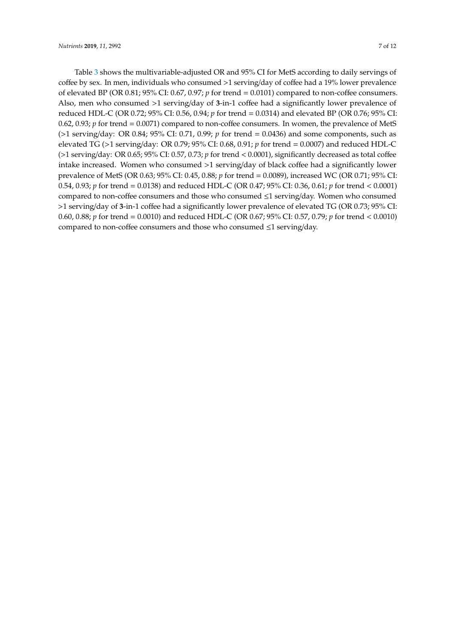Table [3](#page-7-0) shows the multivariable-adjusted OR and 95% CI for MetS according to daily servings of coffee by sex. In men, individuals who consumed >1 serving/day of coffee had a 19% lower prevalence of elevated BP (OR 0.81; 95% CI: 0.67, 0.97; *p* for trend = 0.0101) compared to non-coffee consumers. Also, men who consumed >1 serving/day of **3**-in-1 coffee had a significantly lower prevalence of reduced HDL-C (OR 0.72; 95% CI: 0.56, 0.94; *p* for trend = 0.0314) and elevated BP (OR 0.76; 95% CI: 0.62, 0.93; *p* for trend = 0.0071) compared to non-coffee consumers. In women, the prevalence of MetS (>1 serving/day: OR 0.84; 95% CI: 0.71, 0.99; *p* for trend = 0.0436) and some components, such as elevated TG (>1 serving/day: OR 0.79; 95% CI: 0.68, 0.91; *p* for trend = 0.0007) and reduced HDL-C (>1 serving/day: OR 0.65; 95% CI: 0.57, 0.73; *p* for trend < 0.0001), significantly decreased as total coffee intake increased. Women who consumed >1 serving/day of black coffee had a significantly lower prevalence of MetS (OR 0.63; 95% CI: 0.45, 0.88; *p* for trend = 0.0089), increased WC (OR 0.71; 95% CI: 0.54, 0.93; *p* for trend = 0.0138) and reduced HDL-C (OR 0.47; 95% CI: 0.36, 0.61; *p* for trend < 0.0001) compared to non-coffee consumers and those who consumed ≤1 serving/day. Women who consumed >1 serving/day of **3**-in-1 coffee had a significantly lower prevalence of elevated TG (OR 0.73; 95% CI: 0.60, 0.88; *p* for trend = 0.0010) and reduced HDL-C (OR 0.67; 95% CI: 0.57, 0.79; *p* for trend < 0.0010) compared to non-coffee consumers and those who consumed ≤1 serving/day.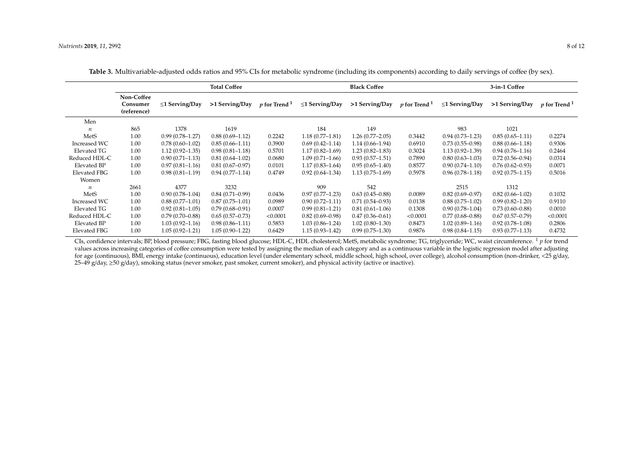|                  | <b>Total Coffee</b>                   |                      |                     |                 |                      | <b>Black Coffee</b> |                 |                      | 3-in-1 Coffee       |                 |
|------------------|---------------------------------------|----------------------|---------------------|-----------------|----------------------|---------------------|-----------------|----------------------|---------------------|-----------------|
|                  | Non-Coffee<br>Consumer<br>(reference) | $\leq$ 1 Serving/Day | >1 Serving/Day      | p for Trend $1$ | $\leq$ 1 Serving/Day | >1 Serving/Day      | p for Trend $1$ | $\leq$ 1 Serving/Day | $>1$ Serving/Day    | p for Trend $1$ |
| Men              |                                       |                      |                     |                 |                      |                     |                 |                      |                     |                 |
| $\boldsymbol{n}$ | 865                                   | 1378                 | 1619                |                 | 184                  | 149                 |                 | 983                  | 1021                |                 |
| MetS             | 1.00                                  | $0.99(0.78 - 1.27)$  | $0.88(0.69 - 1.12)$ | 0.2242          | $1.18(0.77 - 1.81)$  | $1.26(0.77-2.05)$   | 0.3442          | $0.94(0.73 - 1.23)$  | $0.85(0.65 - 1.11)$ | 0.2274          |
| Increased WC     | 1.00                                  | $0.78(0.60-1.02)$    | $0.85(0.66 - 1.11)$ | 0.3900          | $0.69(0.42 - 1.14)$  | $1.14(0.66 - 1.94)$ | 0.6910          | $0.73(0.55-0.98)$    | $0.88(0.66 - 1.18)$ | 0.9306          |
| Elevated TG      | 1.00                                  | $1.12(0.92 - 1.35)$  | $0.98(0.81 - 1.18)$ | 0.5701          | $1.17(0.82 - 1.69)$  | $1.23(0.82 - 1.83)$ | 0.3024          | $1.13(0.92 - 1.39)$  | $0.94(0.76 - 1.16)$ | 0.2464          |
| Reduced HDL-C    | 1.00                                  | $0.90(0.71 - 1.13)$  | $0.81(0.64 - 1.02)$ | 0.0680          | $1.09(0.71-1.66)$    | $0.93(0.57-1.51)$   | 0.7890          | $0.80(0.63 - 1.03)$  | $0.72(0.56 - 0.94)$ | 0.0314          |
| Elevated BP      | 1.00                                  | $0.97(0.81 - 1.16)$  | $0.81(0.67-0.97)$   | 0.0101          | $1.17(0.83 - 1.64)$  | $0.95(0.65-1.40)$   | 0.8577          | $0.90(0.74 - 1.10)$  | $0.76(0.62 - 0.93)$ | 0.0071          |
| Elevated FBG     | 1.00                                  | $0.98(0.81 - 1.19)$  | $0.94(0.77-1.14)$   | 0.4749          | $0.92(0.64 - 1.34)$  | $1.13(0.75 - 1.69)$ | 0.5978          | $0.96(0.78 - 1.18)$  | $0.92(0.75 - 1.15)$ | 0.5016          |
| Women            |                                       |                      |                     |                 |                      |                     |                 |                      |                     |                 |
| $\boldsymbol{n}$ | 2661                                  | 4377                 | 3232                |                 | 909                  | 542                 |                 | 2515                 | 1312                |                 |
| MetS             | 1.00                                  | $0.90(0.78 - 1.04)$  | $0.84(0.71-0.99)$   | 0.0436          | $0.97(0.77-1.23)$    | $0.63(0.45-0.88)$   | 0.0089          | $0.82(0.69 - 0.97)$  | $0.82(0.66 - 1.02)$ | 0.1032          |
| Increased WC     | 1.00                                  | $0.88(0.77-1.01)$    | $0.87(0.75-1.01)$   | 0.0989          | $0.90(0.72 - 1.11)$  | $0.71(0.54 - 0.93)$ | 0.0138          | $0.88(0.75-1.02)$    | $0.99(0.82 - 1.20)$ | 0.9110          |
| Elevated TG      | 1.00                                  | $0.92(0.81 - 1.05)$  | $0.79(0.68 - 0.91)$ | 0.0007          | $0.99(0.81 - 1.21)$  | $0.81(0.61 - 1.06)$ | 0.1308          | $0.90(0.78 - 1.04)$  | $0.73(0.60 - 0.88)$ | 0.0010          |
| Reduced HDL-C    | 1.00                                  | $0.79(0.70-0.88)$    | $0.65(0.57-0.73)$   | < 0.0001        | $0.82(0.69 - 0.98)$  | $0.47(0.36 - 0.61)$ | < 0.0001        | $0.77(0.68 - 0.88)$  | $0.67(0.57-0.79)$   | < 0.0001        |
| Elevated BP      | 1.00                                  | $1.03(0.92 - 1.16)$  | $0.98(0.86 - 1.11)$ | 0.5853          | $1.03(0.86 - 1.24)$  | $1.02(0.80-1.30)$   | 0.8473          | $1.02(0.89 - 1.16)$  | $0.92(0.78-1.08)$   | 0.2806          |
| Elevated FBG     | 1.00                                  | $1.05(0.92 - 1.21)$  | $1.05(0.90 - 1.22)$ | 0.6429          | $1.15(0.93 - 1.42)$  | $0.99(0.75-1.30)$   | 0.9876          | $0.98(0.84 - 1.15)$  | $0.93(0.77-1.13)$   | 0.4732          |

| Table 3. Multivariable-adjusted odds ratios and 95% CIs for metabolic syndrome (including its components) according to daily servings of coffee (by sex). |  |  |
|-----------------------------------------------------------------------------------------------------------------------------------------------------------|--|--|
|-----------------------------------------------------------------------------------------------------------------------------------------------------------|--|--|

<span id="page-7-0"></span>CIs, confidence intervals; BP, blood pressure; FBG, fasting blood glucose; HDL-C, HDL cholesterol; MetS, metabolic syndrome; TG, triglyceride; WC, waist circumference. <sup>1</sup> *p* for trend values across increasing categories of coffee consumption were tested by assigning the median of each category and as a continuous variable in the logistic regression model after adjusting for age (continuous), BMI, energy intake (continuous), education level (under elementary school, middle school, high school, over college), alcohol consumption (non-drinker, <25 g/day, 25–49  $g$ /day, ≥50  $g$ /day), smoking status (never smoker, past smoker, current smoker), and physical activity (active or inactive).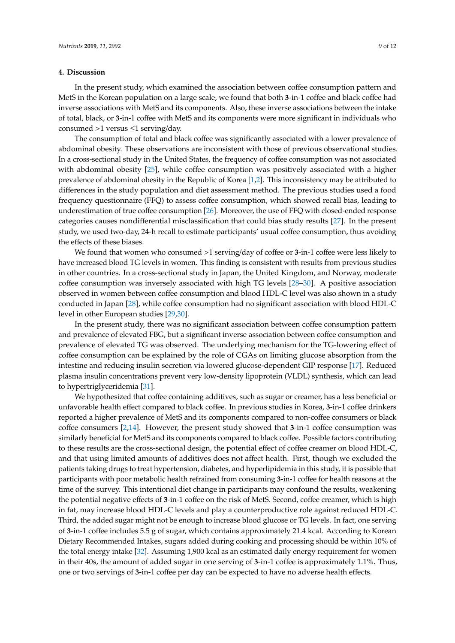## **4. Discussion**

In the present study, which examined the association between coffee consumption pattern and MetS in the Korean population on a large scale, we found that both **3**-in-1 coffee and black coffee had inverse associations with MetS and its components. Also, these inverse associations between the intake of total, black, or **3**-in-1 coffee with MetS and its components were more significant in individuals who consumed >1 versus ≤1 serving/day.

The consumption of total and black coffee was significantly associated with a lower prevalence of abdominal obesity. These observations are inconsistent with those of previous observational studies. In a cross-sectional study in the United States, the frequency of coffee consumption was not associated with abdominal obesity [\[25\]](#page-11-6), while coffee consumption was positively associated with a higher prevalence of abdominal obesity in the Republic of Korea [\[1](#page-10-0)[,2\]](#page-10-1). This inconsistency may be attributed to differences in the study population and diet assessment method. The previous studies used a food frequency questionnaire (FFQ) to assess coffee consumption, which showed recall bias, leading to underestimation of true coffee consumption [\[26\]](#page-11-7). Moreover, the use of FFQ with closed-ended response categories causes nondifferential misclassification that could bias study results [\[27\]](#page-11-8). In the present study, we used two-day, 24-h recall to estimate participants' usual coffee consumption, thus avoiding the effects of these biases.

We found that women who consumed >1 serving/day of coffee or **3**-in-1 coffee were less likely to have increased blood TG levels in women. This finding is consistent with results from previous studies in other countries. In a cross-sectional study in Japan, the United Kingdom, and Norway, moderate coffee consumption was inversely associated with high TG levels [\[28–](#page-11-9)[30\]](#page-11-10). A positive association observed in women between coffee consumption and blood HDL-C level was also shown in a study conducted in Japan [\[28\]](#page-11-9), while coffee consumption had no significant association with blood HDL-C level in other European studies [\[29](#page-11-11)[,30\]](#page-11-10).

In the present study, there was no significant association between coffee consumption pattern and prevalence of elevated FBG, but a significant inverse association between coffee consumption and prevalence of elevated TG was observed. The underlying mechanism for the TG-lowering effect of coffee consumption can be explained by the role of CGAs on limiting glucose absorption from the intestine and reducing insulin secretion via lowered glucose-dependent GIP response [\[17\]](#page-10-16). Reduced plasma insulin concentrations prevent very low-density lipoprotein (VLDL) synthesis, which can lead to hypertriglyceridemia [\[31\]](#page-11-12).

We hypothesized that coffee containing additives, such as sugar or creamer, has a less beneficial or unfavorable health effect compared to black coffee. In previous studies in Korea, **3**-in-1 coffee drinkers reported a higher prevalence of MetS and its components compared to non-coffee consumers or black coffee consumers [\[2,](#page-10-1)[14\]](#page-10-13). However, the present study showed that **3**-in-1 coffee consumption was similarly beneficial for MetS and its components compared to black coffee. Possible factors contributing to these results are the cross-sectional design, the potential effect of coffee creamer on blood HDL-C, and that using limited amounts of additives does not affect health. First, though we excluded the patients taking drugs to treat hypertension, diabetes, and hyperlipidemia in this study, it is possible that participants with poor metabolic health refrained from consuming **3**-in-1 coffee for health reasons at the time of the survey. This intentional diet change in participants may confound the results, weakening the potential negative effects of **3**-in-1 coffee on the risk of MetS. Second, coffee creamer, which is high in fat, may increase blood HDL-C levels and play a counterproductive role against reduced HDL-C. Third, the added sugar might not be enough to increase blood glucose or TG levels. In fact, one serving of **3**-in-1 coffee includes 5.5 g of sugar, which contains approximately 21.4 kcal. According to Korean Dietary Recommended Intakes, sugars added during cooking and processing should be within 10% of the total energy intake [\[32\]](#page-11-13). Assuming 1,900 kcal as an estimated daily energy requirement for women in their 40s, the amount of added sugar in one serving of **3**-in-1 coffee is approximately 1.1%. Thus, one or two servings of **3**-in-1 coffee per day can be expected to have no adverse health effects.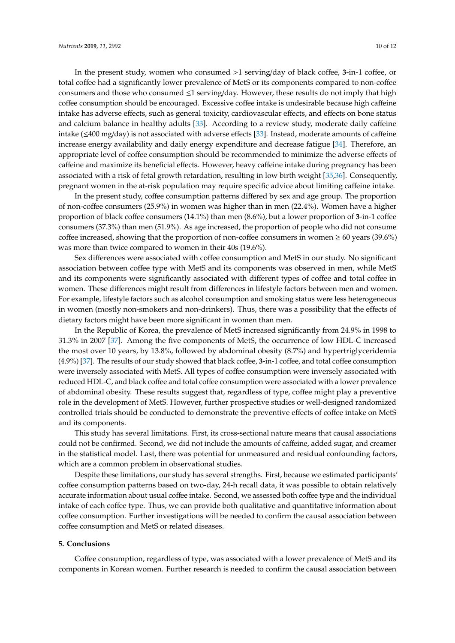In the present study, women who consumed >1 serving/day of black coffee, **3**-in-1 coffee, or total coffee had a significantly lower prevalence of MetS or its components compared to non-coffee consumers and those who consumed  $\leq 1$  serving/day. However, these results do not imply that high coffee consumption should be encouraged. Excessive coffee intake is undesirable because high caffeine intake has adverse effects, such as general toxicity, cardiovascular effects, and effects on bone status and calcium balance in healthy adults [\[33\]](#page-11-14). According to a review study, moderate daily caffeine intake (≤400 mg/day) is not associated with adverse effects [\[33\]](#page-11-14). Instead, moderate amounts of caffeine increase energy availability and daily energy expenditure and decrease fatigue [\[34\]](#page-11-15). Therefore, an appropriate level of coffee consumption should be recommended to minimize the adverse effects of caffeine and maximize its beneficial effects. However, heavy caffeine intake during pregnancy has been associated with a risk of fetal growth retardation, resulting in low birth weight [\[35](#page-11-16)[,36\]](#page-11-17). Consequently, pregnant women in the at-risk population may require specific advice about limiting caffeine intake.

In the present study, coffee consumption patterns differed by sex and age group. The proportion of non-coffee consumers (25.9%) in women was higher than in men (22.4%). Women have a higher proportion of black coffee consumers (14.1%) than men (8.6%), but a lower proportion of **3**-in-1 coffee consumers (37.3%) than men (51.9%). As age increased, the proportion of people who did not consume coffee increased, showing that the proportion of non-coffee consumers in women  $\geq 60$  years (39.6%) was more than twice compared to women in their 40s (19.6%).

Sex differences were associated with coffee consumption and MetS in our study. No significant association between coffee type with MetS and its components was observed in men, while MetS and its components were significantly associated with different types of coffee and total coffee in women. These differences might result from differences in lifestyle factors between men and women. For example, lifestyle factors such as alcohol consumption and smoking status were less heterogeneous in women (mostly non-smokers and non-drinkers). Thus, there was a possibility that the effects of dietary factors might have been more significant in women than men.

In the Republic of Korea, the prevalence of MetS increased significantly from 24.9% in 1998 to 31.3% in 2007 [\[37\]](#page-11-18). Among the five components of MetS, the occurrence of low HDL-C increased the most over 10 years, by 13.8%, followed by abdominal obesity (8.7%) and hypertriglyceridemia (4.9%) [\[37\]](#page-11-18). The results of our study showed that black coffee, **3**-in-1 coffee, and total coffee consumption were inversely associated with MetS. All types of coffee consumption were inversely associated with reduced HDL-C, and black coffee and total coffee consumption were associated with a lower prevalence of abdominal obesity. These results suggest that, regardless of type, coffee might play a preventive role in the development of MetS. However, further prospective studies or well-designed randomized controlled trials should be conducted to demonstrate the preventive effects of coffee intake on MetS and its components.

This study has several limitations. First, its cross-sectional nature means that causal associations could not be confirmed. Second, we did not include the amounts of caffeine, added sugar, and creamer in the statistical model. Last, there was potential for unmeasured and residual confounding factors, which are a common problem in observational studies.

Despite these limitations, our study has several strengths. First, because we estimated participants' coffee consumption patterns based on two-day, 24-h recall data, it was possible to obtain relatively accurate information about usual coffee intake. Second, we assessed both coffee type and the individual intake of each coffee type. Thus, we can provide both qualitative and quantitative information about coffee consumption. Further investigations will be needed to confirm the causal association between coffee consumption and MetS or related diseases.

### **5. Conclusions**

Coffee consumption, regardless of type, was associated with a lower prevalence of MetS and its components in Korean women. Further research is needed to confirm the causal association between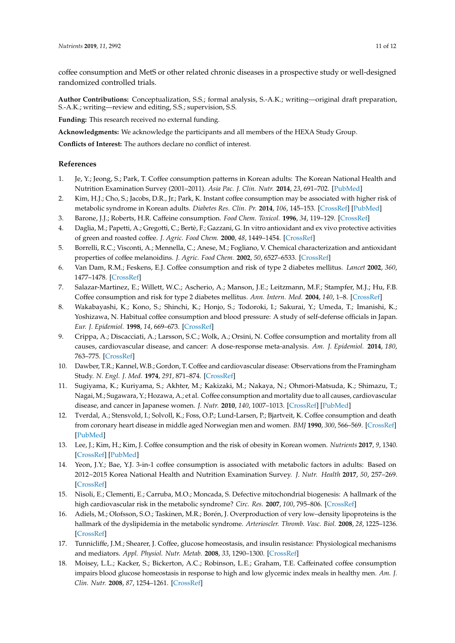coffee consumption and MetS or other related chronic diseases in a prospective study or well-designed randomized controlled trials.

**Author Contributions:** Conceptualization, S.S.; formal analysis, S.-A.K.; writing—original draft preparation, S.-A.K.; writing—review and editing, S.S.; supervision, S.S.

**Funding:** This research received no external funding.

**Acknowledgments:** We acknowledge the participants and all members of the HEXA Study Group.

**Conflicts of Interest:** The authors declare no conflict of interest.

# **References**

- <span id="page-10-0"></span>1. Je, Y.; Jeong, S.; Park, T. Coffee consumption patterns in Korean adults: The Korean National Health and Nutrition Examination Survey (2001–2011). *Asia Pac. J. Clin. Nutr.* **2014**, *23*, 691–702. [\[PubMed\]](http://www.ncbi.nlm.nih.gov/pubmed/25516328)
- <span id="page-10-1"></span>2. Kim, H.J.; Cho, S.; Jacobs, D.R., Jr.; Park, K. Instant coffee consumption may be associated with higher risk of metabolic syndrome in Korean adults. *Diabetes Res. Clin. Pr.* **2014**, *106*, 145–153. [\[CrossRef\]](http://dx.doi.org/10.1016/j.diabres.2014.07.007) [\[PubMed\]](http://www.ncbi.nlm.nih.gov/pubmed/25112922)
- <span id="page-10-2"></span>3. Barone, J.J.; Roberts, H.R. Caffeine consumption. *Food Chem. Toxicol.* **1996**, *34*, 119–129. [\[CrossRef\]](http://dx.doi.org/10.1016/0278-6915(95)00093-3)
- <span id="page-10-3"></span>4. Daglia, M.; Papetti, A.; Gregotti, C.; Bertè, F.; Gazzani, G. In vitro antioxidant and ex vivo protective activities of green and roasted coffee. *J. Agric. Food Chem.* **2000**, *48*, 1449–1454. [\[CrossRef\]](http://dx.doi.org/10.1021/jf990510g)
- <span id="page-10-4"></span>5. Borrelli, R.C.; Visconti, A.; Mennella, C.; Anese, M.; Fogliano, V. Chemical characterization and antioxidant properties of coffee melanoidins. *J. Agric. Food Chem.* **2002**, *50*, 6527–6533. [\[CrossRef\]](http://dx.doi.org/10.1021/jf025686o)
- <span id="page-10-5"></span>6. Van Dam, R.M.; Feskens, E.J. Coffee consumption and risk of type 2 diabetes mellitus. *Lancet* **2002**, *360*, 1477–1478. [\[CrossRef\]](http://dx.doi.org/10.1016/S0140-6736(02)11436-X)
- <span id="page-10-6"></span>7. Salazar-Martinez, E.; Willett, W.C.; Ascherio, A.; Manson, J.E.; Leitzmann, M.F.; Stampfer, M.J.; Hu, F.B. Coffee consumption and risk for type 2 diabetes mellitus. *Ann. Intern. Med.* **2004**, *140*, 1–8. [\[CrossRef\]](http://dx.doi.org/10.7326/0003-4819-140-1-200401060-00005)
- <span id="page-10-7"></span>8. Wakabayashi, K.; Kono, S.; Shinchi, K.; Honjo, S.; Todoroki, I.; Sakurai, Y.; Umeda, T.; Imanishi, K.; Yoshizawa, N. Habitual coffee consumption and blood pressure: A study of self-defense officials in Japan. *Eur. J. Epidemiol.* **1998**, *14*, 669–673. [\[CrossRef\]](http://dx.doi.org/10.1023/A:1007478522638)
- <span id="page-10-8"></span>9. Crippa, A.; Discacciati, A.; Larsson, S.C.; Wolk, A.; Orsini, N. Coffee consumption and mortality from all causes, cardiovascular disease, and cancer: A dose-response meta-analysis. *Am. J. Epidemiol.* **2014**, *180*, 763–775. [\[CrossRef\]](http://dx.doi.org/10.1093/aje/kwu194)
- <span id="page-10-9"></span>10. Dawber, T.R.; Kannel, W.B.; Gordon, T. Coffee and cardiovascular disease: Observations from the Framingham Study. *N. Engl. J. Med.* **1974**, *291*, 871–874. [\[CrossRef\]](http://dx.doi.org/10.1056/NEJM197410242911703)
- <span id="page-10-10"></span>11. Sugiyama, K.; Kuriyama, S.; Akhter, M.; Kakizaki, M.; Nakaya, N.; Ohmori-Matsuda, K.; Shimazu, T.; Nagai, M.; Sugawara, Y.; Hozawa, A.; et al. Coffee consumption and mortality due to all causes, cardiovascular disease, and cancer in Japanese women. *J. Nutr.* **2010**, *140*, 1007–1013. [\[CrossRef\]](http://dx.doi.org/10.3945/jn.109.109314) [\[PubMed\]](http://www.ncbi.nlm.nih.gov/pubmed/20335629)
- <span id="page-10-11"></span>12. Tverdal, A.; Stensvold, I.; Solvoll, K.; Foss, O.P.; Lund-Larsen, P.; Bjartveit, K. Coffee consumption and death from coronary heart disease in middle aged Norwegian men and women. *BMJ* **1990**, *300*, 566–569. [\[CrossRef\]](http://dx.doi.org/10.1136/bmj.300.6724.566) [\[PubMed\]](http://www.ncbi.nlm.nih.gov/pubmed/2108750)
- <span id="page-10-12"></span>13. Lee, J.; Kim, H.; Kim, J. Coffee consumption and the risk of obesity in Korean women. *Nutrients* **2017**, *9*, 1340. [\[CrossRef\]](http://dx.doi.org/10.3390/nu9121340) [\[PubMed\]](http://www.ncbi.nlm.nih.gov/pubmed/29292767)
- <span id="page-10-13"></span>14. Yeon, J.Y.; Bae, Y.J. 3-in-1 coffee consumption is associated with metabolic factors in adults: Based on 2012~2015 Korea National Health and Nutrition Examination Survey. *J. Nutr. Health* **2017**, *50*, 257–269. [\[CrossRef\]](http://dx.doi.org/10.4163/jnh.2017.50.3.257)
- <span id="page-10-14"></span>15. Nisoli, E.; Clementi, E.; Carruba, M.O.; Moncada, S. Defective mitochondrial biogenesis: A hallmark of the high cardiovascular risk in the metabolic syndrome? *Circ. Res.* **2007**, *100*, 795–806. [\[CrossRef\]](http://dx.doi.org/10.1161/01.RES.0000259591.97107.6c)
- <span id="page-10-15"></span>16. Adiels, M.; Olofsson, S.O.; Taskinen, M.R.; Borén, J. Overproduction of very low–density lipoproteins is the hallmark of the dyslipidemia in the metabolic syndrome. *Arterioscler. Thromb. Vasc. Biol.* **2008**, *28*, 1225–1236. [\[CrossRef\]](http://dx.doi.org/10.1161/ATVBAHA.107.160192)
- <span id="page-10-16"></span>17. Tunnicliffe, J.M.; Shearer, J. Coffee, glucose homeostasis, and insulin resistance: Physiological mechanisms and mediators. *Appl. Physiol. Nutr. Metab.* **2008**, *33*, 1290–1300. [\[CrossRef\]](http://dx.doi.org/10.1139/H08-123)
- <span id="page-10-17"></span>18. Moisey, L.L.; Kacker, S.; Bickerton, A.C.; Robinson, L.E.; Graham, T.E. Caffeinated coffee consumption impairs blood glucose homeostasis in response to high and low glycemic index meals in healthy men. *Am. J. Clin. Nutr.* **2008**, *87*, 1254–1261. [\[CrossRef\]](http://dx.doi.org/10.1093/ajcn/87.5.1254)